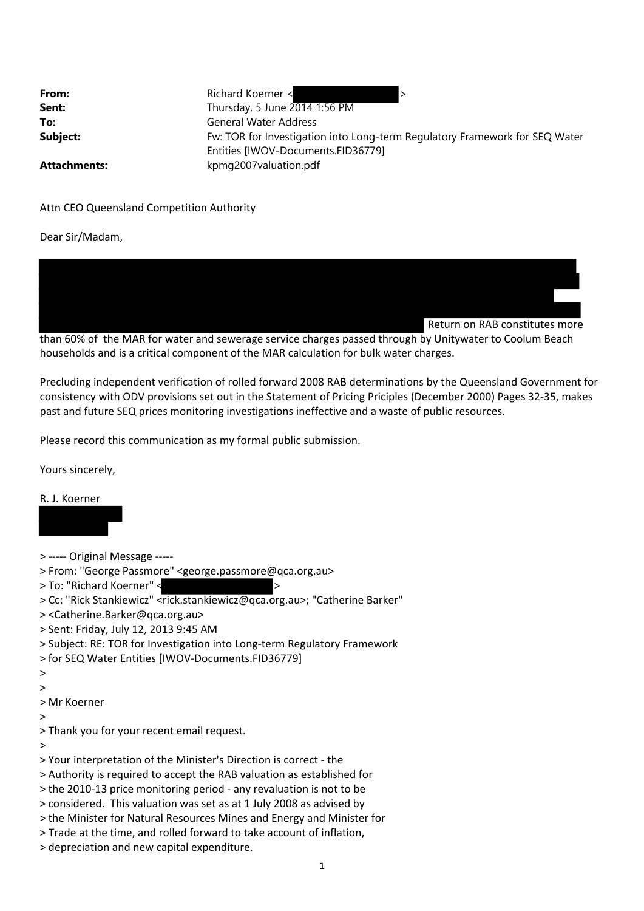| From:               | Richard Koerner <                                                           |
|---------------------|-----------------------------------------------------------------------------|
| Sent:               | Thursday, 5 June 2014 1:56 PM                                               |
| To:                 | <b>General Water Address</b>                                                |
| Subject:            | Fw: TOR for Investigation into Long-term Regulatory Framework for SEQ Water |
|                     | Entities [IWOV-Documents.FID36779]                                          |
| <b>Attachments:</b> | kpmg2007valuation.pdf                                                       |

## Attn CEO Queensland Competition Authority

Dear Sir/Madam,



than 60% of the MAR for water and sewerage service charges passed through by Unitywater to Coolum Beach households and is a critical component of the MAR calculation for bulk water charges.

Precluding independent verification of rolled forward 2008 RAB determinations by the Queensland Government for consistency with ODV provisions set out in the Statement of Pricing Priciples (December 2000) Pages 32‐35, makes past and future SEQ prices monitoring investigations ineffective and a waste of public resources.

Please record this communication as my formal public submission.

Yours sincerely,

## R. J. Koerner

- > ----- Original Message -----
- > From: "George Passmore" <george.passmore@qca.org.au>
- > To: "Richard Koerner" < >
- > Cc: "Rick Stankiewicz" <rick.stankiewicz@qca.org.au>; "Catherine Barker"
- > <Catherine.Barker@qca.org.au>
- > Sent: Friday, July 12, 2013 9:45 AM
- > Subject: RE: TOR for Investigation into Long‐term Regulatory Framework
- > for SEQ Water Entities [IWOV‐Documents.FID36779]
- $\ddot{\phantom{1}}$
- $\rightarrow$
- > Mr Koerner
- >
- > Thank you for your recent email request.
- >
- > Your interpretation of the Minister's Direction is correct ‐ the
- > Authority is required to accept the RAB valuation as established for
- > the 2010‐13 price monitoring period ‐ any revaluation is not to be
- > considered. This valuation was set as at 1 July 2008 as advised by
- > the Minister for Natural Resources Mines and Energy and Minister for
- > Trade at the time, and rolled forward to take account of inflation,
- > depreciation and new capital expenditure.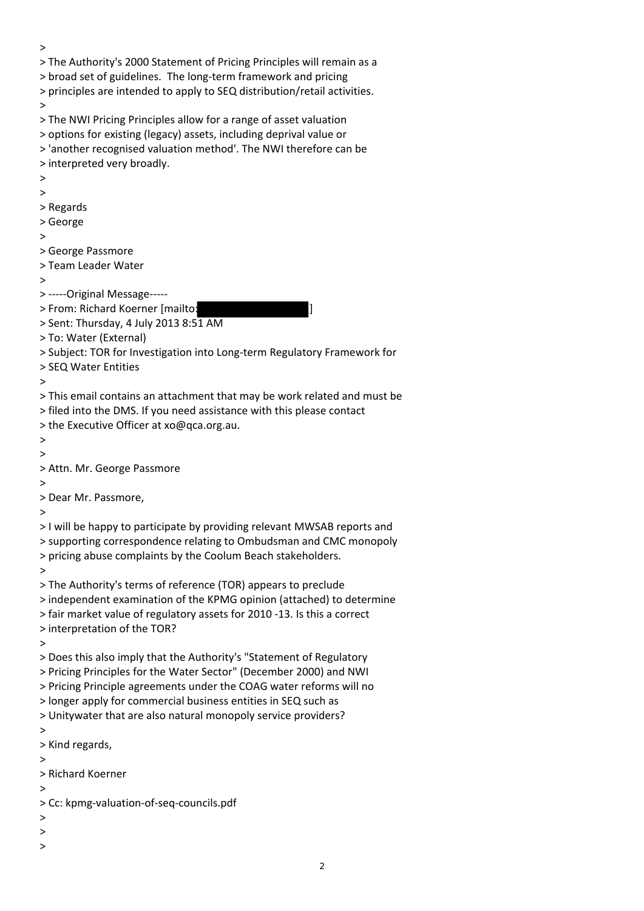> > The Authority's 2000 Statement of Pricing Principles will remain as a > broad set of guidelines. The long‐term framework and pricing > principles are intended to apply to SEQ distribution/retail activities. > > The NWI Pricing Principles allow for a range of asset valuation > options for existing (legacy) assets, including deprival value or > 'another recognised valuation method'. The NWI therefore can be > interpreted very broadly. > > > Regards > George > > George Passmore > Team Leader Water > > -----Original Message-----> From: Richard Koerner [mailto: > Sent: Thursday, 4 July 2013 8:51 AM > To: Water (External) > Subject: TOR for Investigation into Long‐term Regulatory Framework for > SEQ Water Entities > > This email contains an attachment that may be work related and must be > filed into the DMS. If you need assistance with this please contact > the Executive Officer at xo@qca.org.au. > > > Attn. Mr. George Passmore  $\ddot{\phantom{1}}$ > Dear Mr. Passmore, > > I will be happy to participate by providing relevant MWSAB reports and > supporting correspondence relating to Ombudsman and CMC monopoly > pricing abuse complaints by the Coolum Beach stakeholders. > > The Authority's terms of reference (TOR) appears to preclude > independent examination of the KPMG opinion (attached) to determine > fair market value of regulatory assets for 2010 ‐13. Is this a correct > interpretation of the TOR? > > Does this also imply that the Authority's "Statement of Regulatory > Pricing Principles for the Water Sector" (December 2000) and NWI > Pricing Principle agreements under the COAG water reforms will no > longer apply for commercial business entities in SEQ such as > Unitywater that are also natural monopoly service providers? > > Kind regards, > > Richard Koerner > > Cc: kpmg‐valuation‐of‐seq‐councils.pdf > > >

2